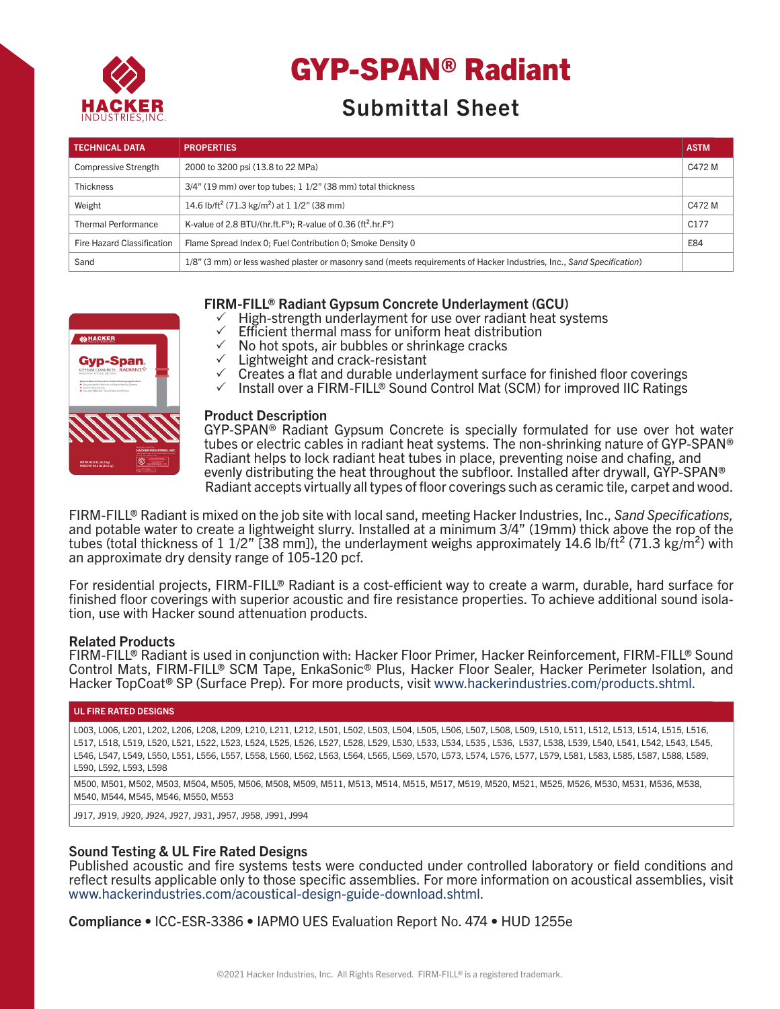

# GYP-SPAN® Radiant

# Submittal Sheet

| <b>TECHNICAL DATA</b>       | <b>PROPERTIES</b>                                                                                                      | <b>ASTM</b>      |
|-----------------------------|------------------------------------------------------------------------------------------------------------------------|------------------|
| <b>Compressive Strength</b> | 2000 to 3200 psi (13.8 to 22 MPa)                                                                                      | C472 M           |
| <b>Thickness</b>            | $3/4$ " (19 mm) over top tubes; 1 $1/2$ " (38 mm) total thickness                                                      |                  |
| Weight                      | 14.6 lb/ft <sup>2</sup> (71.3 kg/m <sup>2</sup> ) at 1 1/2" (38 mm)                                                    | C472 M           |
| <b>Thermal Performance</b>  | K-value of 2.8 BTU/(hr.ft.F°); R-value of 0.36 (ft <sup>2</sup> .hr.F°)                                                | C <sub>177</sub> |
| Fire Hazard Classification  | Flame Spread Index 0; Fuel Contribution 0; Smoke Density 0                                                             | E84              |
| Sand                        | 1/8" (3 mm) or less washed plaster or masonry sand (meets requirements of Hacker Industries, Inc., Sand Specification) |                  |

# FIRM-FILL® Radiant Gypsum Concrete Underlayment (GCU)

- High-strength underlayment for use over radiant heat systems
- $\checkmark$  Efficient thermal mass for uniform heat distribution
- $\checkmark$  No hot spots, air bubbles or shrinkage cracks
- Lightweight and crack-resistant
- $\checkmark$  Creates a flat and durable underlayment surface for finished floor coverings<br> $\checkmark$  Install over a FIRM-FILL® Sound Control Mat (SCM) for improved IIC Ratings
- Install over a FIRM-FILL® Sound Control Mat (SCM) for improved IIC Ratings

| Gypsum-Based Cement for Radiant Heating Applications<br>+ Appropriate for Hudronic or Electric Heating Systems<br>Children haut transfer<br>The with EBM ELL <sup>P</sup> Sound Man and Primers |                                                                                                                                          |
|-------------------------------------------------------------------------------------------------------------------------------------------------------------------------------------------------|------------------------------------------------------------------------------------------------------------------------------------------|
|                                                                                                                                                                                                 |                                                                                                                                          |
|                                                                                                                                                                                                 | <b>Manufactured for</b><br><b>HACKER INDUSTRIES, INC.</b><br>talk tenage face this responds on CASMA<br><b>MET THE RIGHT END CAR TWO</b> |
| NETWI: 80.0 LB. (36.3 kg)<br>GROSS WT. 80.5 LB. (36.5 kg)                                                                                                                                       |                                                                                                                                          |

**AN HACKER** 

**Gvp-Span** 

#### Product Description

 Radiant accepts virtually all types of floor coverings such as ceramic tile, carpet and wood. GYP-SPAN® Radiant Gypsum Concrete is specially formulated for use over hot water tubes or electric cables in radiant heat systems. The non-shrinking nature of GYP-SPAN® Radiant helps to lock radiant heat tubes in place, preventing noise and chafing, and evenly distributing the heat throughout the subfloor. Installed after drywall, GYP-SPAN®

FIRM-FILL® Radiant is mixed on the job site with local sand, meeting Hacker Industries, Inc., *Sand Specifications,*  and potable water to create a lightweight slurry. Installed at a minimum 3/4" (19mm) thick above the rop of the tubes (total thickness of 1 1/2" [38 mm]), the underlayment weighs approximately 14.6 lb/ft<sup>2</sup> (71.3 kg/m<sup>2</sup>) with an approximate dry density range of 105-120 pcf.

For residential projects, FIRM-FILL<sup>®</sup> Radiant is a cost-efficient way to create a warm, durable, hard surface for finished floor coverings with superior acoustic and fire resistance properties. To achieve additional sound isola- tion, use with Hacker sound attenuation products.

# Related Products

FIRM-FILL® Radiant is used in conjunction with: Hacker Floor Primer, Hacker Reinforcement, FIRM-FILL® Sound Control Mats, FIRM-FILL® SCM Tape, EnkaSonic® Plus, Hacker Floor Sealer, Hacker Perimeter Isolation, and Hacker TopCoat® SP (Surface Prep). For more products, visit www.hackerindustries.com/products.shtml.

#### UL FIRE RATED DESIGNS

L003, L006, L201, L202, L206, L208, L209, L210, L211, L212, L501, L502, L503, L504, L505, L506, L507, L508, L509, L510, L511, L512, L513, L514, L515, L516, L517, L518, L519, L520, L521, L522, L523, L524, L525, L526, L527, L528, L529, L530, L533, L534, L535 , L536, L537, L538, L539, L540, L541, L542, L543, L545, L546, L547, L549, L550, L551, L556, L557, L558, L560, L562, L563, L564, L565, L569, L570, L573, L574, L576, L577, L579, L581, L583, L585, L587, L588, L589, L590, L592, L593, L598

M500, M501, M502, M503, M504, M505, M506, M508, M509, M511, M513, M514, M515, M517, M519, M520, M521, M525, M526, M530, M531, M536, M538, M540, M544, M545, M546, M550, M553

J917, J919, J920, J924, J927, J931, J957, J958, J991, J994

# Sound Testing & UL Fire Rated Designs

Published acoustic and fire systems tests were conducted under controlled laboratory or field conditions and reflect results applicable only to those specific assemblies. For more information on acoustical assemblies, visit www.hackerindustries.com/acoustical-design-guide-download.shtml.

Compliance • ICC-ESR-3386 • IAPMO UES Evaluation Report No. 474 • HUD 1255e